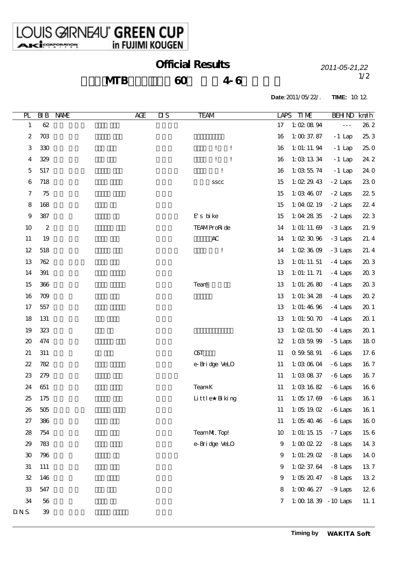LOUIS GIRNEAU<sup>®</sup> GREEN CUP

## Official Results *2011-05-21,22*

1/2

## $\overline{\text{MB}}$  60 4-6

**Date:**2011/05/22/. **TIME:** 10:12.

| PL                         | BIB              | <b>NAME</b> | AŒ | $\overline{\text{MS}}$ | TEAM                             | <b>LAPS</b> | <b>TIME</b>             | <b>BEH ND</b>        | km/h    |
|----------------------------|------------------|-------------|----|------------------------|----------------------------------|-------------|-------------------------|----------------------|---------|
| $\mathbf{1}$               | $62\,$           |             |    |                        |                                  | 17          | 1:020894                | $\sim$ $\sim$ $\sim$ | $26\,2$ |
| 2                          | 703              |             |    |                        |                                  | 16          | 1:0037.87               | $-1$ Lap             | 253     |
| 3                          | 330              |             |    |                        | Ţ<br>Ţ                           | 16          | 1: 01: 11. 94           | $-1$ Lap             | 250     |
| 4                          | 329              |             |    |                        | Ţ<br>1                           | 16          | 1:031334                | $-1$ Lap             | 24 2    |
| 5                          | 517              |             |    |                        | l                                | 16          | 1:035574                | $-1$ Lap             | 240     |
| $\,6$                      | 718              |             |    |                        | ${\bf SSCC}$                     | 15          | 1:0229.43               | $-2$ Laps            | 230     |
| $\boldsymbol{7}$           | 75               |             |    |                        |                                  | 15          | 1:034607                | $-2$ Laps            | 22.5    |
| $\bf 8$                    | 168              |             |    |                        |                                  | 15          | $1:04 \times 19$        | $-2$ Laps            | 224     |
| $\boldsymbol{9}$           | 387              |             |    |                        | $E s$ bike                       | 15          | 1:042835                | $-2$ Laps            | 223     |
| $10$                       | $\boldsymbol{2}$ |             |    |                        | TEAMProRide                      | 14          | 1:01:11.69              | $-3$ Laps            | 21.9    |
| 11                         | 19               |             |    |                        | $\boldsymbol{A}\!\boldsymbol{C}$ | 14          | 1:023096                | $-3$ Laps            | 21.4    |
| 12                         | 518              |             |    |                        | l                                | 14          | 1:023609                | $-3$ Laps            | 21.4    |
| 13                         | 762              |             |    |                        |                                  | 13          | $1:$ O1: 11. 51         | $-4$ Laps            | 203     |
| 14                         | 391              |             |    |                        |                                  | 13          | 1: 01: 11. 71           | $-4$ Laps            | 203     |
| 15                         | 366              |             |    |                        | Team                             | 13          | 1:01:2680               | $-4$ Laps            | 203     |
| 16                         | 709              |             |    |                        |                                  | 13          | 1:01:3428               | $-4$ Laps            | 202     |
| 17                         | 557              |             |    |                        |                                  | 13          | 1:01:4696               | $-4$ Laps            | 20 1    |
| 18                         | 131              |             |    |                        |                                  | 13          | 1:01:5070               | $-4$ Laps            | 20 1    |
| 19                         | 323              |             |    |                        |                                  | 13          | 1:0201.50               | $-4$ Laps            | 20 1    |
| $\boldsymbol{\mathsf{20}}$ | 474              |             |    |                        |                                  | 12          | 1:03599                 | $-5$ Laps            | 180     |
| 21                         | 311              |             |    |                        | <b>CST</b>                       | 11          | 0.59.58.91              | $-6$ Laps            | 17.6    |
| $2\!2$                     | 782              |             |    |                        | e-Bridge VeLO                    | 11          | 1:030604                | $-6$ Laps            | $16\ 7$ |
| $23\,$                     | 279              |             |    |                        |                                  | 11          | 1:030837                | $-6$ Laps            | $16\ 7$ |
| 24                         | 651              |             |    |                        | <b>TeamK</b>                     | 11          | 1:031682                | $-6$ Laps            | 166     |
| 25                         | 175              |             |    |                        | Little Biking                    | 11          | 1:05117.69              | $-6$ Laps            | 16 1    |
| 26                         | 505              |             |    |                        |                                  | 11          | 1: $051902 - 6$ Laps    |                      | 16 1    |
| 27                         | 386              |             |    |                        |                                  | 11          | 1:05:40:46              | $-6$ Laps            | 160     |
| 28                         | 754              |             |    |                        | TeamM. Top!                      | 10          | 1:01:1515               | $-7$ Laps            | $15\;6$ |
| 29                         | 783              |             |    |                        | e-Bridge VeLO                    | 9           | 1:00 02 22              | $-8$ Laps            | 143     |
| $30\,$                     | 796              |             |    |                        |                                  | 9           | 1: 01: $29 \text{ } Q2$ | $-8$ Laps            | 140     |
| 31                         | 111              |             |    |                        |                                  | 9           | 1:0237.64               | $-8$ Laps            | 137     |
| $32\,$                     | 146              |             |    |                        |                                  | 9           | 1:052047                | $-8$ Laps            | 132     |
| 33                         | 547              |             |    |                        |                                  | 8           | 1:00 46 27              | $-9$ Laps            | 126     |
| 34                         | 56               |             |    |                        |                                  | 7           | $1:001839 - 10$ Laps    |                      | 11.1    |
| DNS.                       | ${\bf 39}$       |             |    |                        |                                  |             |                         |                      |         |